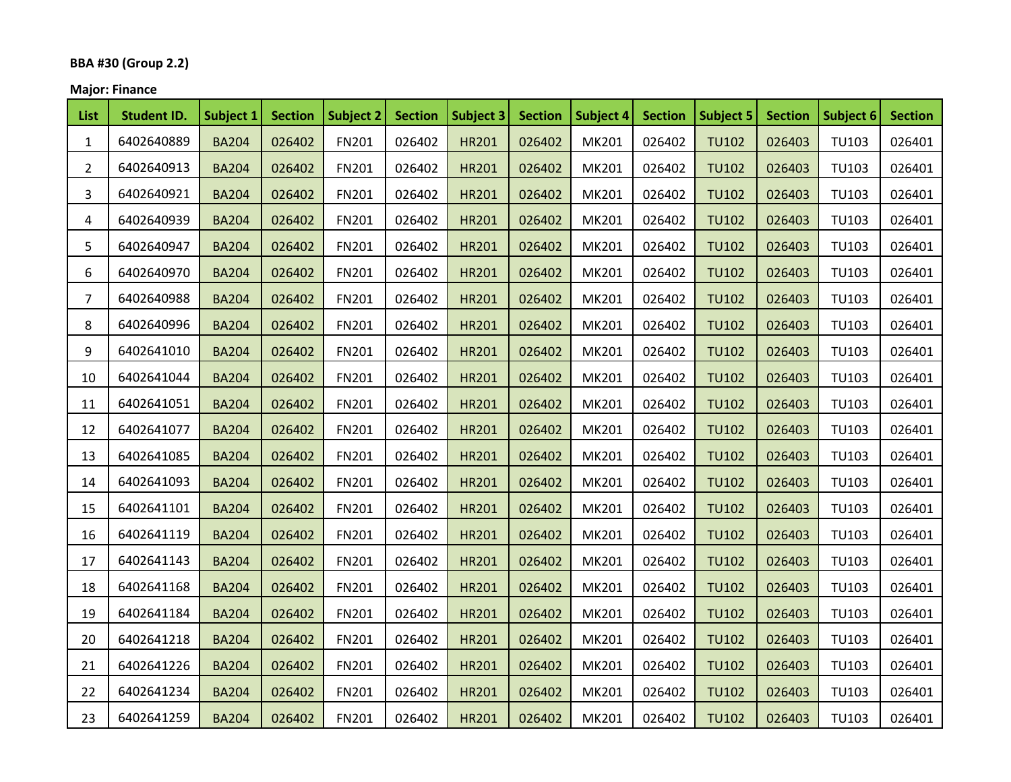# **BBA #30 (Group 2.2)**

# **Major: Finance**

| <b>List</b>    | <b>Student ID.</b> | Subject 1    | <b>Section</b> | Subject 2    | <b>Section</b> | Subject 3    | <b>Section</b> | Subject 4 | <b>Section</b> | <b>Subject 5</b> | <b>Section</b> | Subject 6    | <b>Section</b> |
|----------------|--------------------|--------------|----------------|--------------|----------------|--------------|----------------|-----------|----------------|------------------|----------------|--------------|----------------|
| $\mathbf{1}$   | 6402640889         | <b>BA204</b> | 026402         | <b>FN201</b> | 026402         | <b>HR201</b> | 026402         | MK201     | 026402         | <b>TU102</b>     | 026403         | <b>TU103</b> | 026401         |
| $\overline{2}$ | 6402640913         | <b>BA204</b> | 026402         | <b>FN201</b> | 026402         | <b>HR201</b> | 026402         | MK201     | 026402         | <b>TU102</b>     | 026403         | TU103        | 026401         |
| 3.             | 6402640921         | <b>BA204</b> | 026402         | FN201        | 026402         | <b>HR201</b> | 026402         | MK201     | 026402         | <b>TU102</b>     | 026403         | TU103        | 026401         |
| 4              | 6402640939         | <b>BA204</b> | 026402         | FN201        | 026402         | <b>HR201</b> | 026402         | MK201     | 026402         | <b>TU102</b>     | 026403         | TU103        | 026401         |
| 5.             | 6402640947         | <b>BA204</b> | 026402         | <b>FN201</b> | 026402         | <b>HR201</b> | 026402         | MK201     | 026402         | <b>TU102</b>     | 026403         | <b>TU103</b> | 026401         |
| 6              | 6402640970         | <b>BA204</b> | 026402         | <b>FN201</b> | 026402         | <b>HR201</b> | 026402         | MK201     | 026402         | <b>TU102</b>     | 026403         | <b>TU103</b> | 026401         |
| 7              | 6402640988         | <b>BA204</b> | 026402         | FN201        | 026402         | <b>HR201</b> | 026402         | MK201     | 026402         | TU102            | 026403         | <b>TU103</b> | 026401         |
| 8              | 6402640996         | <b>BA204</b> | 026402         | FN201        | 026402         | <b>HR201</b> | 026402         | MK201     | 026402         | <b>TU102</b>     | 026403         | <b>TU103</b> | 026401         |
| 9              | 6402641010         | <b>BA204</b> | 026402         | <b>FN201</b> | 026402         | <b>HR201</b> | 026402         | MK201     | 026402         | <b>TU102</b>     | 026403         | TU103        | 026401         |
| 10             | 6402641044         | <b>BA204</b> | 026402         | FN201        | 026402         | <b>HR201</b> | 026402         | MK201     | 026402         | <b>TU102</b>     | 026403         | TU103        | 026401         |
| 11             | 6402641051         | <b>BA204</b> | 026402         | FN201        | 026402         | <b>HR201</b> | 026402         | MK201     | 026402         | <b>TU102</b>     | 026403         | TU103        | 026401         |
| 12             | 6402641077         | <b>BA204</b> | 026402         | FN201        | 026402         | <b>HR201</b> | 026402         | MK201     | 026402         | <b>TU102</b>     | 026403         | TU103        | 026401         |
| 13             | 6402641085         | <b>BA204</b> | 026402         | <b>FN201</b> | 026402         | <b>HR201</b> | 026402         | MK201     | 026402         | <b>TU102</b>     | 026403         | <b>TU103</b> | 026401         |
| 14             | 6402641093         | <b>BA204</b> | 026402         | <b>FN201</b> | 026402         | <b>HR201</b> | 026402         | MK201     | 026402         | <b>TU102</b>     | 026403         | <b>TU103</b> | 026401         |
| 15             | 6402641101         | <b>BA204</b> | 026402         | FN201        | 026402         | <b>HR201</b> | 026402         | MK201     | 026402         | <b>TU102</b>     | 026403         | TU103        | 026401         |
| 16             | 6402641119         | <b>BA204</b> | 026402         | <b>FN201</b> | 026402         | <b>HR201</b> | 026402         | MK201     | 026402         | <b>TU102</b>     | 026403         | TU103        | 026401         |
| 17             | 6402641143         | <b>BA204</b> | 026402         | FN201        | 026402         | <b>HR201</b> | 026402         | MK201     | 026402         | <b>TU102</b>     | 026403         | <b>TU103</b> | 026401         |
| 18             | 6402641168         | <b>BA204</b> | 026402         | FN201        | 026402         | <b>HR201</b> | 026402         | MK201     | 026402         | <b>TU102</b>     | 026403         | TU103        | 026401         |
| 19             | 6402641184         | <b>BA204</b> | 026402         | FN201        | 026402         | HR201        | 026402         | MK201     | 026402         | <b>TU102</b>     | 026403         | <b>TU103</b> | 026401         |
| 20             | 6402641218         | <b>BA204</b> | 026402         | <b>FN201</b> | 026402         | <b>HR201</b> | 026402         | MK201     | 026402         | <b>TU102</b>     | 026403         | TU103        | 026401         |
| 21             | 6402641226         | <b>BA204</b> | 026402         | FN201        | 026402         | HR201        | 026402         | MK201     | 026402         | <b>TU102</b>     | 026403         | <b>TU103</b> | 026401         |
| 22             | 6402641234         | <b>BA204</b> | 026402         | <b>FN201</b> | 026402         | <b>HR201</b> | 026402         | MK201     | 026402         | <b>TU102</b>     | 026403         | TU103        | 026401         |
| 23             | 6402641259         | <b>BA204</b> | 026402         | <b>FN201</b> | 026402         | HR201        | 026402         | MK201     | 026402         | <b>TU102</b>     | 026403         | <b>TU103</b> | 026401         |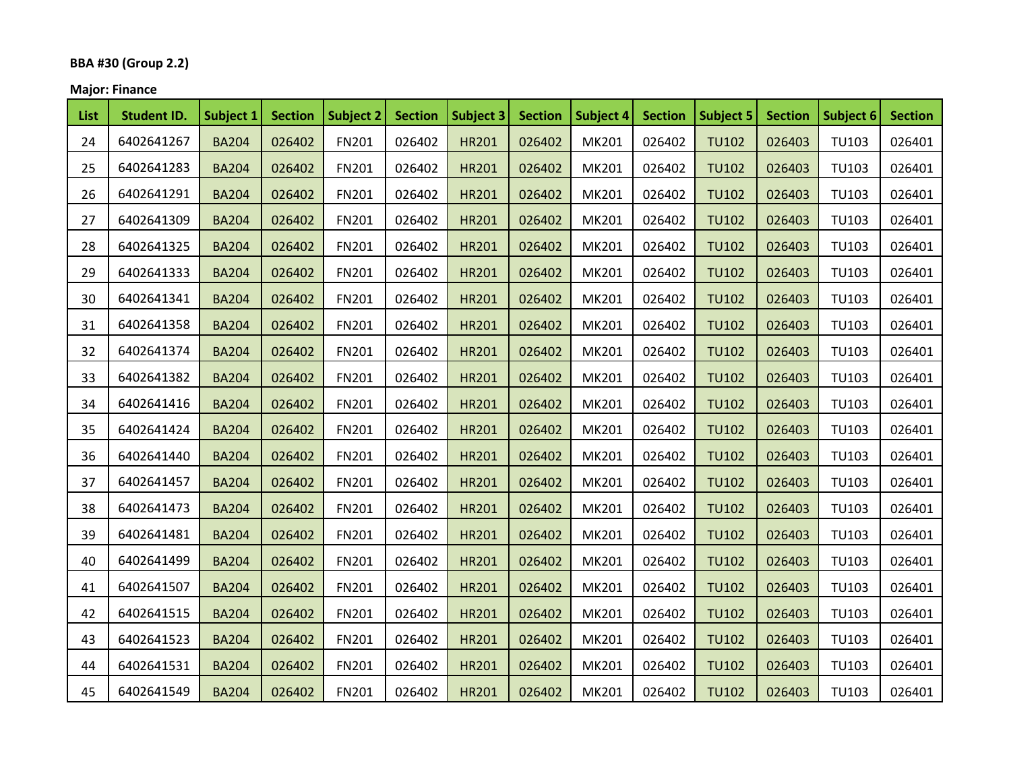# **BBA #30 (Group 2.2)**

# **Major: Finance**

| <b>List</b> | <b>Student ID.</b> | Subject 1    | <b>Section</b> | Subject 2    | <b>Section</b> | Subject 3    | <b>Section</b> | Subject 4    | <b>Section</b> | Subject 5    | <b>Section</b> | Subject 6    | <b>Section</b> |
|-------------|--------------------|--------------|----------------|--------------|----------------|--------------|----------------|--------------|----------------|--------------|----------------|--------------|----------------|
| 24          | 6402641267         | <b>BA204</b> | 026402         | <b>FN201</b> | 026402         | <b>HR201</b> | 026402         | MK201        | 026402         | <b>TU102</b> | 026403         | TU103        | 026401         |
| 25          | 6402641283         | <b>BA204</b> | 026402         | FN201        | 026402         | <b>HR201</b> | 026402         | MK201        | 026402         | <b>TU102</b> | 026403         | <b>TU103</b> | 026401         |
| 26          | 6402641291         | <b>BA204</b> | 026402         | <b>FN201</b> | 026402         | <b>HR201</b> | 026402         | MK201        | 026402         | <b>TU102</b> | 026403         | TU103        | 026401         |
| 27          | 6402641309         | <b>BA204</b> | 026402         | <b>FN201</b> | 026402         | <b>HR201</b> | 026402         | MK201        | 026402         | <b>TU102</b> | 026403         | <b>TU103</b> | 026401         |
| 28          | 6402641325         | <b>BA204</b> | 026402         | <b>FN201</b> | 026402         | <b>HR201</b> | 026402         | MK201        | 026402         | <b>TU102</b> | 026403         | TU103        | 026401         |
| 29          | 6402641333         | <b>BA204</b> | 026402         | FN201        | 026402         | <b>HR201</b> | 026402         | MK201        | 026402         | <b>TU102</b> | 026403         | <b>TU103</b> | 026401         |
| 30          | 6402641341         | <b>BA204</b> | 026402         | <b>FN201</b> | 026402         | <b>HR201</b> | 026402         | MK201        | 026402         | <b>TU102</b> | 026403         | <b>TU103</b> | 026401         |
| 31          | 6402641358         | <b>BA204</b> | 026402         | <b>FN201</b> | 026402         | <b>HR201</b> | 026402         | MK201        | 026402         | <b>TU102</b> | 026403         | <b>TU103</b> | 026401         |
| 32          | 6402641374         | <b>BA204</b> | 026402         | <b>FN201</b> | 026402         | <b>HR201</b> | 026402         | <b>MK201</b> | 026402         | <b>TU102</b> | 026403         | <b>TU103</b> | 026401         |
| 33          | 6402641382         | <b>BA204</b> | 026402         | FN201        | 026402         | <b>HR201</b> | 026402         | MK201        | 026402         | <b>TU102</b> | 026403         | TU103        | 026401         |
| 34          | 6402641416         | <b>BA204</b> | 026402         | <b>FN201</b> | 026402         | <b>HR201</b> | 026402         | MK201        | 026402         | <b>TU102</b> | 026403         | <b>TU103</b> | 026401         |
| 35          | 6402641424         | <b>BA204</b> | 026402         | <b>FN201</b> | 026402         | <b>HR201</b> | 026402         | MK201        | 026402         | <b>TU102</b> | 026403         | <b>TU103</b> | 026401         |
| 36          | 6402641440         | <b>BA204</b> | 026402         | FN201        | 026402         | <b>HR201</b> | 026402         | MK201        | 026402         | <b>TU102</b> | 026403         | <b>TU103</b> | 026401         |
| 37          | 6402641457         | <b>BA204</b> | 026402         | FN201        | 026402         | <b>HR201</b> | 026402         | MK201        | 026402         | <b>TU102</b> | 026403         | TU103        | 026401         |
| 38          | 6402641473         | <b>BA204</b> | 026402         | FN201        | 026402         | <b>HR201</b> | 026402         | MK201        | 026402         | <b>TU102</b> | 026403         | TU103        | 026401         |
| 39          | 6402641481         | <b>BA204</b> | 026402         | <b>FN201</b> | 026402         | <b>HR201</b> | 026402         | MK201        | 026402         | <b>TU102</b> | 026403         | <b>TU103</b> | 026401         |
| 40          | 6402641499         | <b>BA204</b> | 026402         | FN201        | 026402         | <b>HR201</b> | 026402         | MK201        | 026402         | <b>TU102</b> | 026403         | <b>TU103</b> | 026401         |
| 41          | 6402641507         | <b>BA204</b> | 026402         | <b>FN201</b> | 026402         | <b>HR201</b> | 026402         | MK201        | 026402         | <b>TU102</b> | 026403         | <b>TU103</b> | 026401         |
| 42          | 6402641515         | <b>BA204</b> | 026402         | <b>FN201</b> | 026402         | <b>HR201</b> | 026402         | MK201        | 026402         | <b>TU102</b> | 026403         | TU103        | 026401         |
| 43          | 6402641523         | <b>BA204</b> | 026402         | <b>FN201</b> | 026402         | <b>HR201</b> | 026402         | MK201        | 026402         | <b>TU102</b> | 026403         | <b>TU103</b> | 026401         |
| 44          | 6402641531         | <b>BA204</b> | 026402         | <b>FN201</b> | 026402         | <b>HR201</b> | 026402         | MK201        | 026402         | <b>TU102</b> | 026403         | TU103        | 026401         |
| 45          | 6402641549         | <b>BA204</b> | 026402         | <b>FN201</b> | 026402         | HR201        | 026402         | MK201        | 026402         | <b>TU102</b> | 026403         | <b>TU103</b> | 026401         |